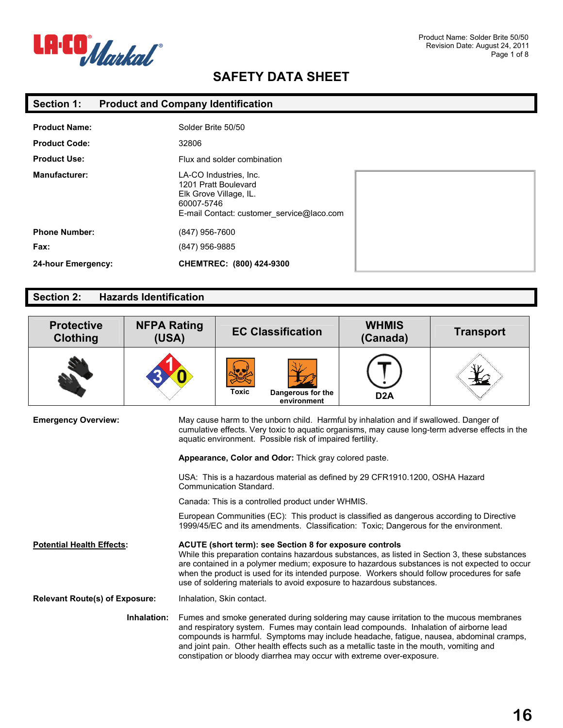

| <b>Section 1:</b> |  | <b>Product and Company Identification</b> |
|-------------------|--|-------------------------------------------|
|-------------------|--|-------------------------------------------|

| <b>Product Name:</b> | Solder Brite 50/50                                                                                                                  |  |
|----------------------|-------------------------------------------------------------------------------------------------------------------------------------|--|
| <b>Product Code:</b> | 32806                                                                                                                               |  |
| <b>Product Use:</b>  | Flux and solder combination                                                                                                         |  |
| <b>Manufacturer:</b> | LA-CO Industries, Inc.<br>1201 Pratt Boulevard<br>Elk Grove Village, IL.<br>60007-5746<br>E-mail Contact: customer service@laco.com |  |
| <b>Phone Number:</b> | (847) 956-7600                                                                                                                      |  |
| Fax:                 | (847) 956-9885                                                                                                                      |  |
| 24-hour Emergency:   | CHEMTREC: (800) 424-9300                                                                                                            |  |

### **Section 2: Hazards Identification**

| <b>Protective</b><br>Clothing                                                                                                                                                                                                                                                                                                                                                                                                                                   | <b>NFPA Rating</b><br>(USA)                                                                                                                                                                                                                           | <b>EC Classification</b>                                                                                                                                                                                                                                                                                                                                                                                                           | <b>WHMIS</b><br>(Canada) | <b>Transport</b> |
|-----------------------------------------------------------------------------------------------------------------------------------------------------------------------------------------------------------------------------------------------------------------------------------------------------------------------------------------------------------------------------------------------------------------------------------------------------------------|-------------------------------------------------------------------------------------------------------------------------------------------------------------------------------------------------------------------------------------------------------|------------------------------------------------------------------------------------------------------------------------------------------------------------------------------------------------------------------------------------------------------------------------------------------------------------------------------------------------------------------------------------------------------------------------------------|--------------------------|------------------|
|                                                                                                                                                                                                                                                                                                                                                                                                                                                                 |                                                                                                                                                                                                                                                       | <b>Toxic</b><br>Dangerous for the<br>environment                                                                                                                                                                                                                                                                                                                                                                                   | D <sub>2</sub> A         |                  |
| <b>Emergency Overview:</b>                                                                                                                                                                                                                                                                                                                                                                                                                                      | May cause harm to the unborn child. Harmful by inhalation and if swallowed. Danger of<br>cumulative effects. Very toxic to aquatic organisms, may cause long-term adverse effects in the<br>aquatic environment. Possible risk of impaired fertility. |                                                                                                                                                                                                                                                                                                                                                                                                                                    |                          |                  |
|                                                                                                                                                                                                                                                                                                                                                                                                                                                                 |                                                                                                                                                                                                                                                       | Appearance, Color and Odor: Thick gray colored paste.                                                                                                                                                                                                                                                                                                                                                                              |                          |                  |
| USA: This is a hazardous material as defined by 29 CFR1910.1200, OSHA Hazard<br>Communication Standard.                                                                                                                                                                                                                                                                                                                                                         |                                                                                                                                                                                                                                                       |                                                                                                                                                                                                                                                                                                                                                                                                                                    |                          |                  |
| Canada: This is a controlled product under WHMIS.                                                                                                                                                                                                                                                                                                                                                                                                               |                                                                                                                                                                                                                                                       |                                                                                                                                                                                                                                                                                                                                                                                                                                    |                          |                  |
|                                                                                                                                                                                                                                                                                                                                                                                                                                                                 |                                                                                                                                                                                                                                                       | European Communities (EC): This product is classified as dangerous according to Directive<br>1999/45/EC and its amendments. Classification: Toxic; Dangerous for the environment.                                                                                                                                                                                                                                                  |                          |                  |
| <b>Potential Health Effects:</b>                                                                                                                                                                                                                                                                                                                                                                                                                                |                                                                                                                                                                                                                                                       | ACUTE (short term): see Section 8 for exposure controls<br>While this preparation contains hazardous substances, as listed in Section 3, these substances<br>are contained in a polymer medium; exposure to hazardous substances is not expected to occur<br>when the product is used for its intended purpose. Workers should follow procedures for safe<br>use of soldering materials to avoid exposure to hazardous substances. |                          |                  |
| <b>Relevant Route(s) of Exposure:</b>                                                                                                                                                                                                                                                                                                                                                                                                                           |                                                                                                                                                                                                                                                       | Inhalation, Skin contact.                                                                                                                                                                                                                                                                                                                                                                                                          |                          |                  |
| Inhalation:<br>Fumes and smoke generated during soldering may cause irritation to the mucous membranes<br>and respiratory system. Fumes may contain lead compounds. Inhalation of airborne lead<br>compounds is harmful. Symptoms may include headache, fatigue, nausea, abdominal cramps,<br>and joint pain. Other health effects such as a metallic taste in the mouth, vomiting and<br>constipation or bloody diarrhea may occur with extreme over-exposure. |                                                                                                                                                                                                                                                       |                                                                                                                                                                                                                                                                                                                                                                                                                                    |                          |                  |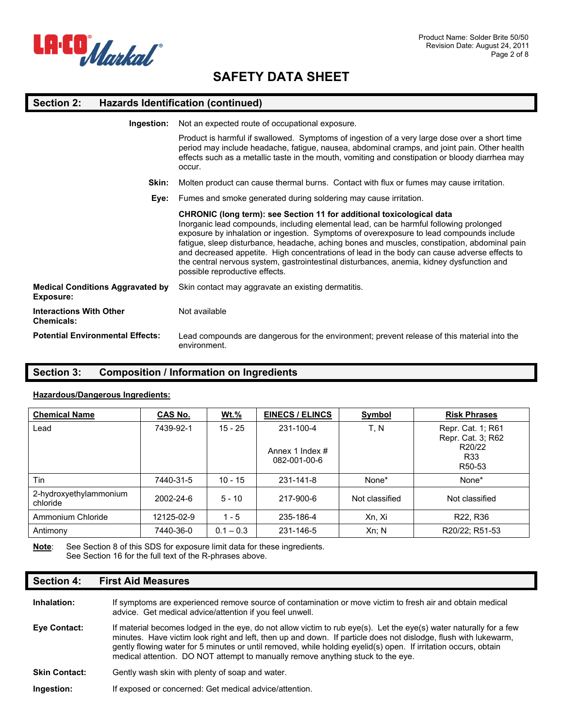

#### **Section 2: Hazards Identification (continued)**

| Ingestion:                                           | Not an expected route of occupational exposure.                                                                                                                                                                                                                                                                                                                                                                                                                                                                                                                                           |
|------------------------------------------------------|-------------------------------------------------------------------------------------------------------------------------------------------------------------------------------------------------------------------------------------------------------------------------------------------------------------------------------------------------------------------------------------------------------------------------------------------------------------------------------------------------------------------------------------------------------------------------------------------|
|                                                      | Product is harmful if swallowed. Symptoms of ingestion of a very large dose over a short time<br>period may include headache, fatigue, nausea, abdominal cramps, and joint pain. Other health<br>effects such as a metallic taste in the mouth, vomiting and constipation or bloody diarrhea may<br>occur.                                                                                                                                                                                                                                                                                |
| Skin:                                                | Molten product can cause thermal burns. Contact with flux or fumes may cause irritation.                                                                                                                                                                                                                                                                                                                                                                                                                                                                                                  |
| Eye:                                                 | Fumes and smoke generated during soldering may cause irritation.                                                                                                                                                                                                                                                                                                                                                                                                                                                                                                                          |
|                                                      | CHRONIC (long term): see Section 11 for additional toxicological data<br>Inorganic lead compounds, including elemental lead, can be harmful following prolonged<br>exposure by inhalation or ingestion. Symptoms of overexposure to lead compounds include<br>fatigue, sleep disturbance, headache, aching bones and muscles, constipation, abdominal pain<br>and decreased appetite. High concentrations of lead in the body can cause adverse effects to<br>the central nervous system, gastrointestinal disturbances, anemia, kidney dysfunction and<br>possible reproductive effects. |
| <b>Medical Conditions Aggravated by</b><br>Exposure: | Skin contact may aggravate an existing dermatitis.                                                                                                                                                                                                                                                                                                                                                                                                                                                                                                                                        |
| <b>Interactions With Other</b><br><b>Chemicals:</b>  | Not available                                                                                                                                                                                                                                                                                                                                                                                                                                                                                                                                                                             |
| <b>Potential Environmental Effects:</b>              | Lead compounds are dangerous for the environment; prevent release of this material into the<br>environment.                                                                                                                                                                                                                                                                                                                                                                                                                                                                               |

### **Section 3: Composition / Information on Ingredients**

#### **Hazardous/Dangerous Ingredients:**

| <b>Chemical Name</b>               | <b>CAS No.</b> | <u>Wt.%</u> | <b>EINECS / ELINCS</b>          | <b>Symbol</b>  | <b>Risk Phrases</b>                    |
|------------------------------------|----------------|-------------|---------------------------------|----------------|----------------------------------------|
| Lead                               | 7439-92-1      | $15 - 25$   | 231-100-4                       | T, N           | Repr. Cat. 1; R61<br>Repr. Cat. 3; R62 |
|                                    |                |             | Annex 1 Index #<br>082-001-00-6 |                | R20/22<br>R <sub>33</sub><br>R50-53    |
| Tin                                | 7440-31-5      | $10 - 15$   | 231-141-8                       | None*          | None*                                  |
| 2-hydroxyethylammonium<br>chloride | 2002-24-6      | $5 - 10$    | 217-900-6                       | Not classified | Not classified                         |
| Ammonium Chloride                  | 12125-02-9     | $1 - 5$     | 235-186-4                       | Xn, Xi         | R22, R36                               |
| Antimony                           | 7440-36-0      | $0.1 - 0.3$ | 231-146-5                       | Xn; N          | R20/22; R51-53                         |

Note: See Section 8 of this SDS for exposure limit data for these ingredients. See Section 16 for the full text of the R-phrases above.

#### **Section 4: First Aid Measures**

| Inhalation: | If symptoms are experienced remove source of contamination or move victim to fresh air and obtain medical |
|-------------|-----------------------------------------------------------------------------------------------------------|
|             | advice. Get medical advice/attention if you feel unwell.                                                  |

- **Eye Contact:** If material becomes lodged in the eye, do not allow victim to rub eye(s). Let the eye(s) water naturally for a few minutes. Have victim look right and left, then up and down. If particle does not dislodge, flush with lukewarm, gently flowing water for 5 minutes or until removed, while holding eyelid(s) open. If irritation occurs, obtain medical attention. DO NOT attempt to manually remove anything stuck to the eye.
- **Skin Contact:** Gently wash skin with plenty of soap and water.

**Ingestion:** If exposed or concerned: Get medical advice/attention.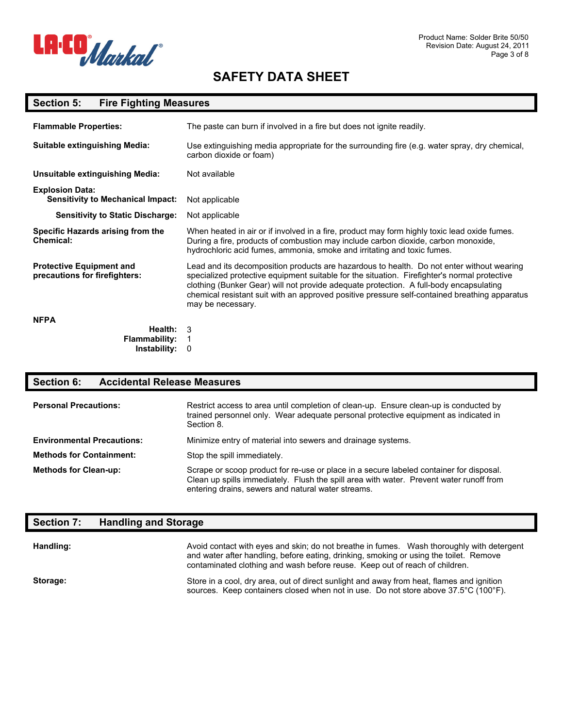

#### **Section 5: Fire Fighting Measures**

| <b>Flammable Properties:</b>                                       | The paste can burn if involved in a fire but does not ignite readily.                                                                                                                                                                                                                                                                                                                                     |
|--------------------------------------------------------------------|-----------------------------------------------------------------------------------------------------------------------------------------------------------------------------------------------------------------------------------------------------------------------------------------------------------------------------------------------------------------------------------------------------------|
| <b>Suitable extinguishing Media:</b>                               | Use extinguishing media appropriate for the surrounding fire (e.g. water spray, dry chemical,<br>carbon dioxide or foam)                                                                                                                                                                                                                                                                                  |
| <b>Unsuitable extinguishing Media:</b>                             | Not available                                                                                                                                                                                                                                                                                                                                                                                             |
| <b>Explosion Data:</b><br><b>Sensitivity to Mechanical Impact:</b> | Not applicable                                                                                                                                                                                                                                                                                                                                                                                            |
| <b>Sensitivity to Static Discharge:</b>                            | Not applicable                                                                                                                                                                                                                                                                                                                                                                                            |
| Specific Hazards arising from the<br>Chemical:                     | When heated in air or if involved in a fire, product may form highly toxic lead oxide fumes.<br>During a fire, products of combustion may include carbon dioxide, carbon monoxide,<br>hydrochloric acid fumes, ammonia, smoke and irritating and toxic fumes.                                                                                                                                             |
| <b>Protective Equipment and</b><br>precautions for firefighters:   | Lead and its decomposition products are hazardous to health. Do not enter without wearing<br>specialized protective equipment suitable for the situation. Firefighter's normal protective<br>clothing (Bunker Gear) will not provide adequate protection. A full-body encapsulating<br>chemical resistant suit with an approved positive pressure self-contained breathing apparatus<br>may be necessary. |
| <b>NFPA</b>                                                        |                                                                                                                                                                                                                                                                                                                                                                                                           |
| Health:<br><b>Flammability:</b><br>Instability:                    | 3<br>0                                                                                                                                                                                                                                                                                                                                                                                                    |

#### **Section 6: Accidental Release Measures**

| <b>Personal Precautions:</b>      | Restrict access to area until completion of clean-up. Ensure clean-up is conducted by<br>trained personnel only. Wear adequate personal protective equipment as indicated in<br>Section 8.                                               |
|-----------------------------------|------------------------------------------------------------------------------------------------------------------------------------------------------------------------------------------------------------------------------------------|
| <b>Environmental Precautions:</b> | Minimize entry of material into sewers and drainage systems.                                                                                                                                                                             |
| <b>Methods for Containment:</b>   | Stop the spill immediately.                                                                                                                                                                                                              |
| <b>Methods for Clean-up:</b>      | Scrape or scoop product for re-use or place in a secure labeled container for disposal.<br>Clean up spills immediately. Flush the spill area with water. Prevent water runoff from<br>entering drains, sewers and natural water streams. |

## **Section 7: Handling and Storage Handling:** Avoid contact with eyes and skin; do not breathe in fumes. Wash thoroughly with detergent and water after handling, before eating, drinking, smoking or using the toilet. Remove contaminated clothing and wash before reuse. Keep out of reach of children. Storage: Store in a cool, dry area, out of direct sunlight and away from heat, flames and ignition sources. Keep containers closed when not in use. Do not store above 37.5°C (100°F).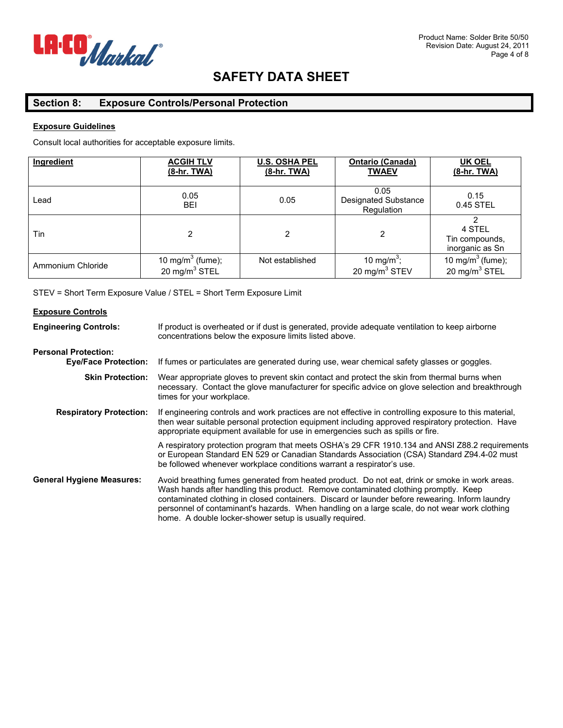

### **Section 8: Exposure Controls/Personal Protection**

#### **Exposure Guidelines**

Consult local authorities for acceptable exposure limits.

| Ingredient        | <b>ACGIH TLV</b><br>(8-hr. TWA)                  | <b>U.S. OSHA PEL</b><br>(8-hr. TWA) | <b>Ontario (Canada)</b><br><b>TWAEV</b>           | UK OEL<br><u>(8-hr. TWA)</u>                              |
|-------------------|--------------------------------------------------|-------------------------------------|---------------------------------------------------|-----------------------------------------------------------|
| Lead              | 0.05<br>BEI                                      | 0.05                                | 0.05<br><b>Designated Substance</b><br>Regulation | 0.15<br>0.45 STEL                                         |
| Tin               | 2                                                |                                     | 2                                                 | 4 STEL<br>Tin compounds.<br>inorganic as Sn               |
| Ammonium Chloride | 10 mg/m <sup>3</sup> (fume);<br>20 mg/m $3$ STEL | Not established                     | 10 mg/m <sup>3</sup> ;<br>20 mg/m $3$ STEV        | 10 mg/m <sup>3</sup> (fume);<br>20 mg/m <sup>3</sup> STEL |

STEV = Short Term Exposure Value / STEL = Short Term Exposure Limit

### **Exposure Controls Engineering Controls:** If product is overheated or if dust is generated, provide adequate ventilation to keep airborne concentrations below the exposure limits listed above. **Personal Protection: Eye/Face Protection:** If fumes or particulates are generated during use, wear chemical safety glasses or goggles. **Skin Protection:** Wear appropriate gloves to prevent skin contact and protect the skin from thermal burns when necessary. Contact the glove manufacturer for specific advice on glove selection and breakthrough times for your workplace. **Respiratory Protection:** If engineering controls and work practices are not effective in controlling exposure to this material, then wear suitable personal protection equipment including approved respiratory protection. Have appropriate equipment available for use in emergencies such as spills or fire. A respiratory protection program that meets OSHA's 29 CFR 1910.134 and ANSI Z88.2 requirements or European Standard EN 529 or Canadian Standards Association (CSA) Standard Z94.4-02 must be followed whenever workplace conditions warrant a respirator's use. **General Hygiene Measures:** Avoid breathing fumes generated from heated product. Do not eat, drink or smoke in work areas. Wash hands after handling this product. Remove contaminated clothing promptly. Keep contaminated clothing in closed containers. Discard or launder before rewearing. Inform laundry personnel of contaminant's hazards. When handling on a large scale, do not wear work clothing home. A double locker-shower setup is usually required.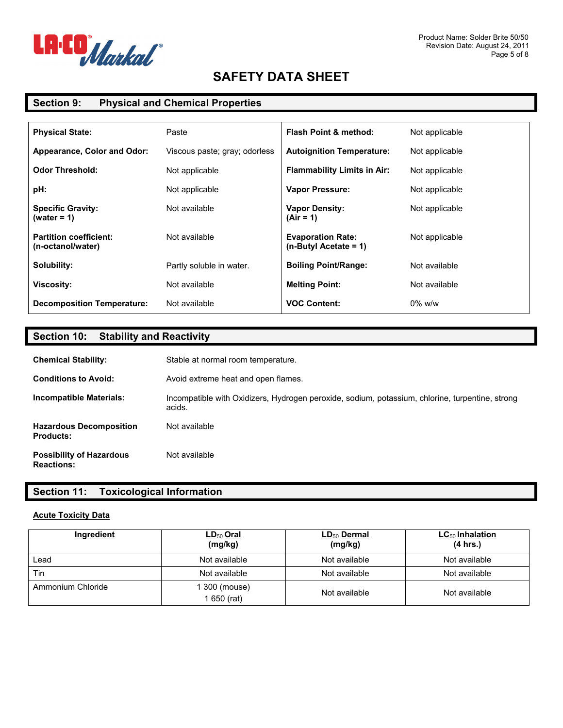

### **Section 9: Physical and Chemical Properties**

| <b>Physical State:</b>                             | Paste                         | <b>Flash Point &amp; method:</b>                    | Not applicable |
|----------------------------------------------------|-------------------------------|-----------------------------------------------------|----------------|
| Appearance, Color and Odor:                        | Viscous paste; gray; odorless | <b>Autoignition Temperature:</b>                    | Not applicable |
| <b>Odor Threshold:</b>                             | Not applicable                | <b>Flammability Limits in Air:</b>                  | Not applicable |
| pH:                                                | Not applicable                | <b>Vapor Pressure:</b>                              | Not applicable |
| <b>Specific Gravity:</b><br>(water = 1)            | Not available                 | <b>Vapor Density:</b><br>$(Air = 1)$                | Not applicable |
| <b>Partition coefficient:</b><br>(n-octanol/water) | Not available                 | <b>Evaporation Rate:</b><br>$(n-Butvl$ Acetate = 1) | Not applicable |
| Solubility:                                        | Partly soluble in water.      | <b>Boiling Point/Range:</b>                         | Not available  |
| Viscosity:                                         | Not available                 | <b>Melting Point:</b>                               | Not available  |
| <b>Decomposition Temperature:</b>                  | Not available                 | <b>VOC Content:</b>                                 | $0\%$ w/w      |

## **Section 10: Stability and Reactivity**

| <b>Chemical Stability:</b>                           | Stable at normal room temperature.                                                                        |
|------------------------------------------------------|-----------------------------------------------------------------------------------------------------------|
| <b>Conditions to Avoid:</b>                          | Avoid extreme heat and open flames.                                                                       |
| Incompatible Materials:                              | Incompatible with Oxidizers, Hydrogen peroxide, sodium, potassium, chlorine, turpentine, strong<br>acids. |
| <b>Hazardous Decomposition</b><br><b>Products:</b>   | Not available                                                                                             |
| <b>Possibility of Hazardous</b><br><b>Reactions:</b> | Not available                                                                                             |

### **Section 11: Toxicological Information**

#### **Acute Toxicity Data**

| Ingredient        | <u>LD<sub>50</sub> Oral</u><br>(mg/kg) | LD <sub>50</sub> Dermal<br>(mg/kg) | $LC_{50}$ Inhalation<br>(4 hrs.) |
|-------------------|----------------------------------------|------------------------------------|----------------------------------|
| Lead              | Not available                          | Not available                      | Not available                    |
| Tin               | Not available                          | Not available                      | Not available                    |
| Ammonium Chloride | l 300 (mouse)<br>650 (rat)             | Not available                      | Not available                    |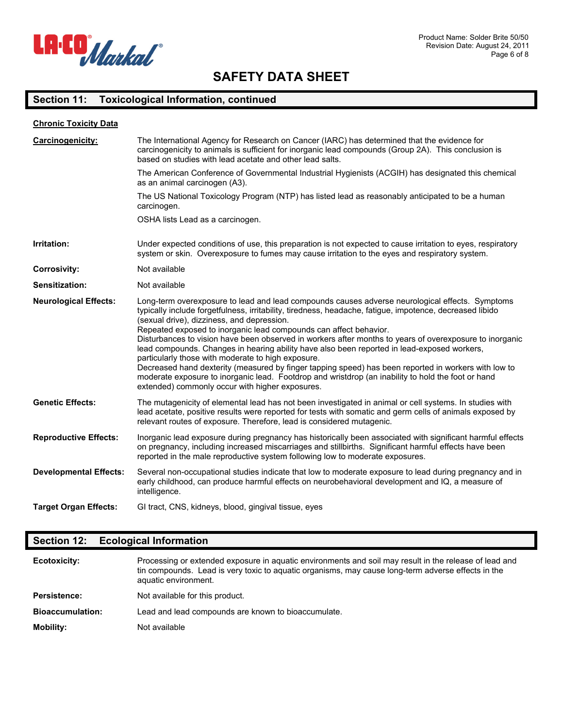

## **Section 11: Toxicological Information, continued**

| <b>Chronic Toxicity Data</b>  |                                                                                                                                                                                                                                                                                                                                                                                                                                                                                                                                                                                                                                                                                                                                                                                                                                                                 |
|-------------------------------|-----------------------------------------------------------------------------------------------------------------------------------------------------------------------------------------------------------------------------------------------------------------------------------------------------------------------------------------------------------------------------------------------------------------------------------------------------------------------------------------------------------------------------------------------------------------------------------------------------------------------------------------------------------------------------------------------------------------------------------------------------------------------------------------------------------------------------------------------------------------|
| Carcinogenicity:              | The International Agency for Research on Cancer (IARC) has determined that the evidence for<br>carcinogenicity to animals is sufficient for inorganic lead compounds (Group 2A). This conclusion is<br>based on studies with lead acetate and other lead salts.                                                                                                                                                                                                                                                                                                                                                                                                                                                                                                                                                                                                 |
|                               | The American Conference of Governmental Industrial Hygienists (ACGIH) has designated this chemical<br>as an animal carcinogen (A3).                                                                                                                                                                                                                                                                                                                                                                                                                                                                                                                                                                                                                                                                                                                             |
|                               | The US National Toxicology Program (NTP) has listed lead as reasonably anticipated to be a human<br>carcinogen.                                                                                                                                                                                                                                                                                                                                                                                                                                                                                                                                                                                                                                                                                                                                                 |
|                               | OSHA lists Lead as a carcinogen.                                                                                                                                                                                                                                                                                                                                                                                                                                                                                                                                                                                                                                                                                                                                                                                                                                |
| Irritation:                   | Under expected conditions of use, this preparation is not expected to cause irritation to eyes, respiratory<br>system or skin. Overexposure to fumes may cause irritation to the eyes and respiratory system.                                                                                                                                                                                                                                                                                                                                                                                                                                                                                                                                                                                                                                                   |
| <b>Corrosivity:</b>           | Not available                                                                                                                                                                                                                                                                                                                                                                                                                                                                                                                                                                                                                                                                                                                                                                                                                                                   |
| <b>Sensitization:</b>         | Not available                                                                                                                                                                                                                                                                                                                                                                                                                                                                                                                                                                                                                                                                                                                                                                                                                                                   |
| <b>Neurological Effects:</b>  | Long-term overexposure to lead and lead compounds causes adverse neurological effects. Symptoms<br>typically include forgetfulness, irritability, tiredness, headache, fatigue, impotence, decreased libido<br>(sexual drive), dizziness, and depression.<br>Repeated exposed to inorganic lead compounds can affect behavior.<br>Disturbances to vision have been observed in workers after months to years of overexposure to inorganic<br>lead compounds. Changes in hearing ability have also been reported in lead-exposed workers,<br>particularly those with moderate to high exposure.<br>Decreased hand dexterity (measured by finger tapping speed) has been reported in workers with low to<br>moderate exposure to inorganic lead. Footdrop and wristdrop (an inability to hold the foot or hand<br>extended) commonly occur with higher exposures. |
| <b>Genetic Effects:</b>       | The mutagenicity of elemental lead has not been investigated in animal or cell systems. In studies with<br>lead acetate, positive results were reported for tests with somatic and germ cells of animals exposed by<br>relevant routes of exposure. Therefore, lead is considered mutagenic.                                                                                                                                                                                                                                                                                                                                                                                                                                                                                                                                                                    |
| <b>Reproductive Effects:</b>  | Inorganic lead exposure during pregnancy has historically been associated with significant harmful effects<br>on pregnancy, including increased miscarriages and stillbirths. Significant harmful effects have been<br>reported in the male reproductive system following low to moderate exposures.                                                                                                                                                                                                                                                                                                                                                                                                                                                                                                                                                            |
| <b>Developmental Effects:</b> | Several non-occupational studies indicate that low to moderate exposure to lead during pregnancy and in<br>early childhood, can produce harmful effects on neurobehavioral development and IQ, a measure of<br>intelligence.                                                                                                                                                                                                                                                                                                                                                                                                                                                                                                                                                                                                                                    |
| <b>Target Organ Effects:</b>  | GI tract, CNS, kidneys, blood, gingival tissue, eyes                                                                                                                                                                                                                                                                                                                                                                                                                                                                                                                                                                                                                                                                                                                                                                                                            |

## **Section 12: Ecological Information**

| <b>Ecotoxicity:</b>     | Processing or extended exposure in aguatic environments and soil may result in the release of lead and<br>tin compounds. Lead is very toxic to aquatic organisms, may cause long-term adverse effects in the<br>aquatic environment. |
|-------------------------|--------------------------------------------------------------------------------------------------------------------------------------------------------------------------------------------------------------------------------------|
| Persistence:            | Not available for this product.                                                                                                                                                                                                      |
| <b>Bioaccumulation:</b> | Lead and lead compounds are known to bioaccumulate.                                                                                                                                                                                  |
| <b>Mobility:</b>        | Not available                                                                                                                                                                                                                        |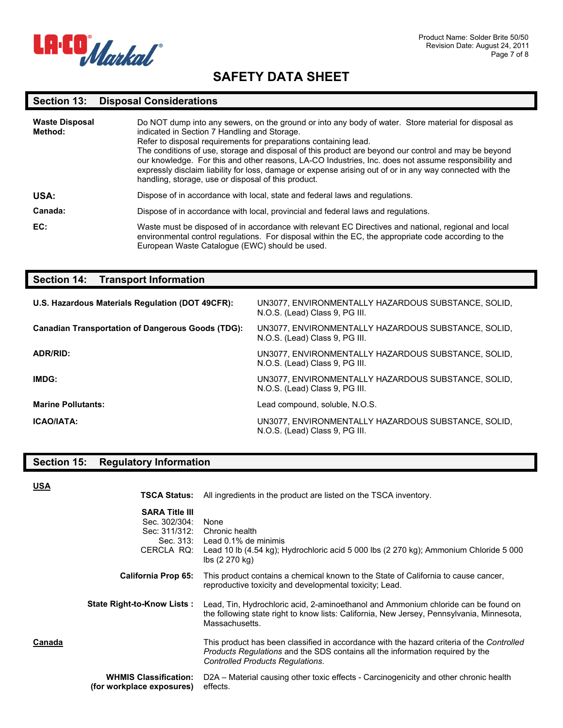

#### **Section 13: Disposal Considerations**

| <b>Waste Disposal</b><br>Method: | Do NOT dump into any sewers, on the ground or into any body of water. Store material for disposal as<br>indicated in Section 7 Handling and Storage.<br>Refer to disposal requirements for preparations containing lead.<br>The conditions of use, storage and disposal of this product are beyond our control and may be beyond<br>our knowledge. For this and other reasons, LA-CO Industries, Inc. does not assume responsibility and<br>expressly disclaim liability for loss, damage or expense arising out of or in any way connected with the<br>handling, storage, use or disposal of this product. |
|----------------------------------|-------------------------------------------------------------------------------------------------------------------------------------------------------------------------------------------------------------------------------------------------------------------------------------------------------------------------------------------------------------------------------------------------------------------------------------------------------------------------------------------------------------------------------------------------------------------------------------------------------------|
| USA:                             | Dispose of in accordance with local, state and federal laws and regulations.                                                                                                                                                                                                                                                                                                                                                                                                                                                                                                                                |
| Canada:                          | Dispose of in accordance with local, provincial and federal laws and regulations.                                                                                                                                                                                                                                                                                                                                                                                                                                                                                                                           |
| EC:                              | Waste must be disposed of in accordance with relevant EC Directives and national, regional and local<br>environmental control regulations. For disposal within the EC, the appropriate code according to the<br>European Waste Catalogue (EWC) should be used.                                                                                                                                                                                                                                                                                                                                              |

### **Section 14: Transport Information**

| U.S. Hazardous Materials Regulation (DOT 49CFR):         | UN3077, ENVIRONMENTALLY HAZARDOUS SUBSTANCE, SOLID,<br>N.O.S. (Lead) Class 9, PG III. |
|----------------------------------------------------------|---------------------------------------------------------------------------------------|
| <b>Canadian Transportation of Dangerous Goods (TDG):</b> | UN3077, ENVIRONMENTALLY HAZARDOUS SUBSTANCE, SOLID,<br>N.O.S. (Lead) Class 9, PG III. |
| ADR/RID:                                                 | UN3077, ENVIRONMENTALLY HAZARDOUS SUBSTANCE, SOLID,<br>N.O.S. (Lead) Class 9, PG III. |
| IMDG:                                                    | UN3077, ENVIRONMENTALLY HAZARDOUS SUBSTANCE, SOLID,<br>N.O.S. (Lead) Class 9, PG III. |
| <b>Marine Pollutants:</b>                                | Lead compound, soluble, N.O.S.                                                        |
| <b>ICAO/IATA:</b>                                        | UN3077, ENVIRONMENTALLY HAZARDOUS SUBSTANCE, SOLID,<br>N.O.S. (Lead) Class 9, PG III. |

## **Section 15: Regulatory Information**

**USA**

| guiuloi y mnomialion |  |
|----------------------|--|
|                      |  |
|                      |  |
|                      |  |

|        | TSCA Status:                                                                       | All ingredients in the product are listed on the TSCA inventory.                                                                                                                                                             |
|--------|------------------------------------------------------------------------------------|------------------------------------------------------------------------------------------------------------------------------------------------------------------------------------------------------------------------------|
|        | <b>SARA Title III</b><br>Sec. 302/304:<br>Sec: 311/312:<br>Sec. 313:<br>CERCLA RQ: | None<br>Chronic health<br>Lead 0.1% de minimis<br>Lead 10 lb (4.54 kg); Hydrochloric acid 5 000 lbs (2 270 kg); Ammonium Chloride 5 000<br>lbs (2 270 kg)                                                                    |
|        | <b>California Prop 65:</b>                                                         | This product contains a chemical known to the State of California to cause cancer,<br>reproductive toxicity and developmental toxicity; Lead.                                                                                |
|        | <b>State Right-to-Know Lists:</b>                                                  | Lead, Tin, Hydrochloric acid, 2-aminoethanol and Ammonium chloride can be found on<br>the following state right to know lists: California, New Jersey, Pennsylvania, Minnesota,<br>Massachusetts.                            |
| Canada |                                                                                    | This product has been classified in accordance with the hazard criteria of the Controlled<br><i>Products Requlations</i> and the SDS contains all the information required by the<br><b>Controlled Products Regulations.</b> |
|        | <b>WHMIS Classification:</b><br>(for workplace exposures)                          | D2A – Material causing other toxic effects - Carcinogenicity and other chronic health<br>effects.                                                                                                                            |